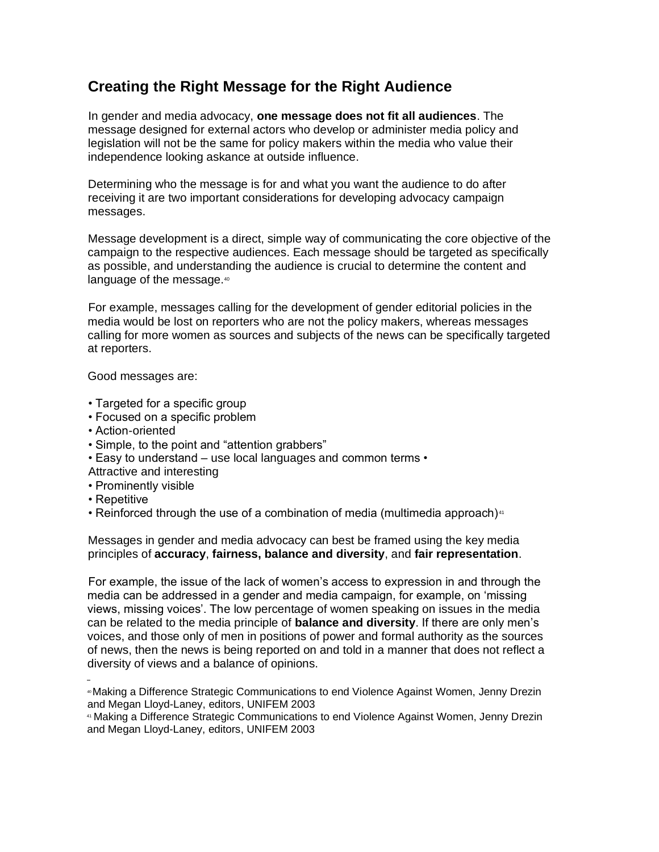## **Creating the Right Message for the Right Audience**

In gender and media advocacy, **one message does not fit all audiences**. The message designed for external actors who develop or administer media policy and legislation will not be the same for policy makers within the media who value their independence looking askance at outside influence.

Determining who the message is for and what you want the audience to do after receiving it are two important considerations for developing advocacy campaign messages.

Message development is a direct, simple way of communicating the core objective of the campaign to the respective audiences. Each message should be targeted as specifically as possible, and understanding the audience is crucial to determine the content and language of the message.<sup>40</sup>

For example, messages calling for the development of gender editorial policies in the media would be lost on reporters who are not the policy makers, whereas messages calling for more women as sources and subjects of the news can be specifically targeted at reporters.

Good messages are:

- Targeted for a specific group
- Focused on a specific problem
- Action-oriented
- Simple, to the point and "attention grabbers"
- Easy to understand use local languages and common terms •
- Attractive and interesting
- Prominently visible
- Repetitive
- Reinforced through the use of a combination of media (multimedia approach)<sup>41</sup>

Messages in gender and media advocacy can best be framed using the key media principles of **accuracy**, **fairness, balance and diversity**, and **fair representation**.

For example, the issue of the lack of women's access to expression in and through the media can be addressed in a gender and media campaign, for example, on 'missing views, missing voices'. The low percentage of women speaking on issues in the media can be related to the media principle of **balance and diversity**. If there are only men's voices, and those only of men in positions of power and formal authority as the sources of news, then the news is being reported on and told in a manner that does not reflect a diversity of views and a balance of opinions.

<sup>40</sup>Making a Difference Strategic Communications to end Violence Against Women, Jenny Drezin and Megan Lloyd-Laney, editors, UNIFEM 2003

<sup>41</sup> Making a Difference Strategic Communications to end Violence Against Women, Jenny Drezin and Megan Lloyd-Laney, editors, UNIFEM 2003